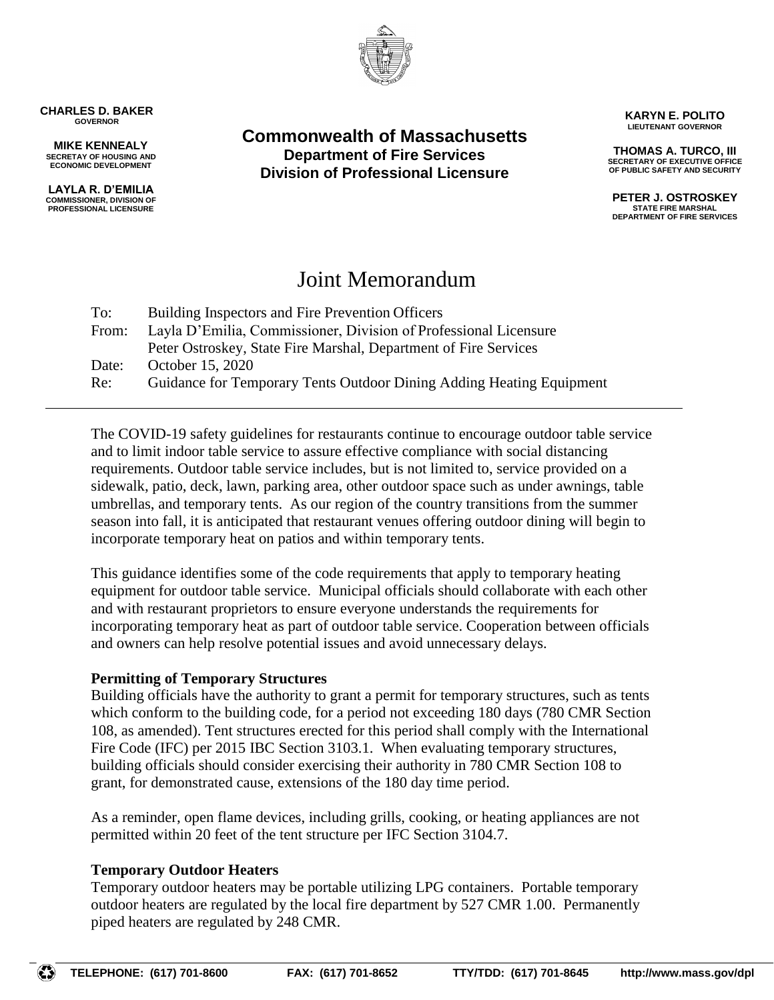

**CHARLES D. BAKER GOVERNOR**

**MIKE KENNEALY SECRETAY OF HOUSING AND ECONOMIC DEVELOPMENT**

**LAYLA R. D'EMILIA COMMISSIONER, DIVISION OF PROFESSIONAL LICENSURE**

**Commonwealth of Massachusetts Department of Fire Services Division of Professional Licensure**

**KARYN E. POLITO LIEUTENANT GOVERNOR**

**THOMAS A. TURCO, III SECRETARY OF EXECUTIVE OFFICE OF PUBLIC SAFETY AND SECURITY**

**PETER J. OSTROSKEY STATE FIRE MARSHAL DEPARTMENT OF FIRE SERVICES**

# Joint Memorandum

| To:   | Building Inspectors and Fire Prevention Officers                     |
|-------|----------------------------------------------------------------------|
| From: | Layla D'Emilia, Commissioner, Division of Professional Licensure     |
|       | Peter Ostroskey, State Fire Marshal, Department of Fire Services     |
| Date: | October 15, 2020                                                     |
| Re:   | Guidance for Temporary Tents Outdoor Dining Adding Heating Equipment |

The COVID-19 safety guidelines for restaurants continue to encourage outdoor table service and to limit indoor table service to assure effective compliance with social distancing requirements. Outdoor table service includes, but is not limited to, service provided on a sidewalk, patio, deck, lawn, parking area, other outdoor space such as under awnings, table umbrellas, and temporary tents. As our region of the country transitions from the summer season into fall, it is anticipated that restaurant venues offering outdoor dining will begin to incorporate temporary heat on patios and within temporary tents.

This guidance identifies some of the code requirements that apply to temporary heating equipment for outdoor table service. Municipal officials should collaborate with each other and with restaurant proprietors to ensure everyone understands the requirements for incorporating temporary heat as part of outdoor table service. Cooperation between officials and owners can help resolve potential issues and avoid unnecessary delays.

## **Permitting of Temporary Structures**

Building officials have the authority to grant a permit for temporary structures, such as tents which conform to the building code, for a period not exceeding 180 days (780 CMR Section 108, as amended). Tent structures erected for this period shall comply with the International Fire Code (IFC) per 2015 IBC Section 3103.1. When evaluating temporary structures, building officials should consider exercising their authority in 780 CMR Section 108 to grant, for demonstrated cause, extensions of the 180 day time period.

As a reminder, open flame devices, including grills, cooking, or heating appliances are not permitted within 20 feet of the tent structure per IFC Section 3104.7.

## **Temporary Outdoor Heaters**

Temporary outdoor heaters may be portable utilizing LPG containers. Portable temporary outdoor heaters are regulated by the local fire department by 527 CMR 1.00. Permanently piped heaters are regulated by 248 CMR.